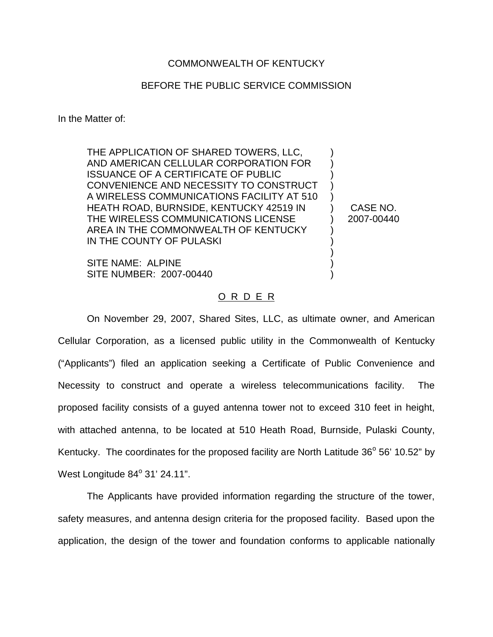## COMMONWEALTH OF KENTUCKY

## BEFORE THE PUBLIC SERVICE COMMISSION

In the Matter of:

THE APPLICATION OF SHARED TOWERS, LLC, AND AMERICAN CELLULAR CORPORATION FOR ISSUANCE OF A CERTIFICATE OF PUBLIC CONVENIENCE AND NECESSITY TO CONSTRUCT A WIRELESS COMMUNICATIONS FACILITY AT 510 HEATH ROAD, BURNSIDE, KENTUCKY 42519 IN THE WIRELESS COMMUNICATIONS LICENSE AREA IN THE COMMONWEALTH OF KENTUCKY IN THE COUNTY OF PULASKI

SITE NAME: ALPINE SITE NUMBER: 2007-00440

) ) ) ) ) ) ) ) ) ) ) )

CASE NO. 2007-00440

## O R D E R

On November 29, 2007, Shared Sites, LLC, as ultimate owner, and American Cellular Corporation, as a licensed public utility in the Commonwealth of Kentucky ("Applicants") filed an application seeking a Certificate of Public Convenience and Necessity to construct and operate a wireless telecommunications facility. The proposed facility consists of a guyed antenna tower not to exceed 310 feet in height, with attached antenna, to be located at 510 Heath Road, Burnside, Pulaski County, Kentucky. The coordinates for the proposed facility are North Latitude  $36^{\circ}$  56' 10.52" by West Longitude  $84^\circ$  31' 24.11".

The Applicants have provided information regarding the structure of the tower, safety measures, and antenna design criteria for the proposed facility. Based upon the application, the design of the tower and foundation conforms to applicable nationally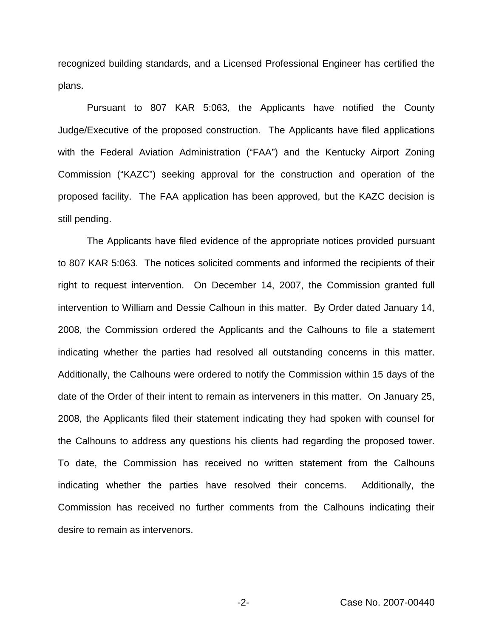recognized building standards, and a Licensed Professional Engineer has certified the plans.

Pursuant to 807 KAR 5:063, the Applicants have notified the County Judge/Executive of the proposed construction. The Applicants have filed applications with the Federal Aviation Administration ("FAA") and the Kentucky Airport Zoning Commission ("KAZC") seeking approval for the construction and operation of the proposed facility. The FAA application has been approved, but the KAZC decision is still pending.

The Applicants have filed evidence of the appropriate notices provided pursuant to 807 KAR 5:063. The notices solicited comments and informed the recipients of their right to request intervention. On December 14, 2007, the Commission granted full intervention to William and Dessie Calhoun in this matter. By Order dated January 14, 2008, the Commission ordered the Applicants and the Calhouns to file a statement indicating whether the parties had resolved all outstanding concerns in this matter. Additionally, the Calhouns were ordered to notify the Commission within 15 days of the date of the Order of their intent to remain as interveners in this matter. On January 25, 2008, the Applicants filed their statement indicating they had spoken with counsel for the Calhouns to address any questions his clients had regarding the proposed tower. To date, the Commission has received no written statement from the Calhouns indicating whether the parties have resolved their concerns. Additionally, the Commission has received no further comments from the Calhouns indicating their desire to remain as intervenors.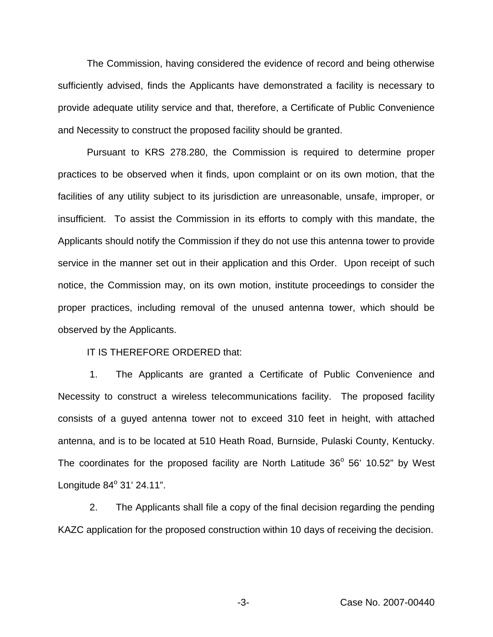The Commission, having considered the evidence of record and being otherwise sufficiently advised, finds the Applicants have demonstrated a facility is necessary to provide adequate utility service and that, therefore, a Certificate of Public Convenience and Necessity to construct the proposed facility should be granted.

Pursuant to KRS 278.280, the Commission is required to determine proper practices to be observed when it finds, upon complaint or on its own motion, that the facilities of any utility subject to its jurisdiction are unreasonable, unsafe, improper, or insufficient. To assist the Commission in its efforts to comply with this mandate, the Applicants should notify the Commission if they do not use this antenna tower to provide service in the manner set out in their application and this Order. Upon receipt of such notice, the Commission may, on its own motion, institute proceedings to consider the proper practices, including removal of the unused antenna tower, which should be observed by the Applicants.

IT IS THEREFORE ORDERED that:

1. The Applicants are granted a Certificate of Public Convenience and Necessity to construct a wireless telecommunications facility. The proposed facility consists of a guyed antenna tower not to exceed 310 feet in height, with attached antenna, and is to be located at 510 Heath Road, Burnside, Pulaski County, Kentucky. The coordinates for the proposed facility are North Latitude  $36^{\circ}$  56' 10.52" by West Longitude  $84^{\circ}$  31' 24.11".

2. The Applicants shall file a copy of the final decision regarding the pending KAZC application for the proposed construction within 10 days of receiving the decision.